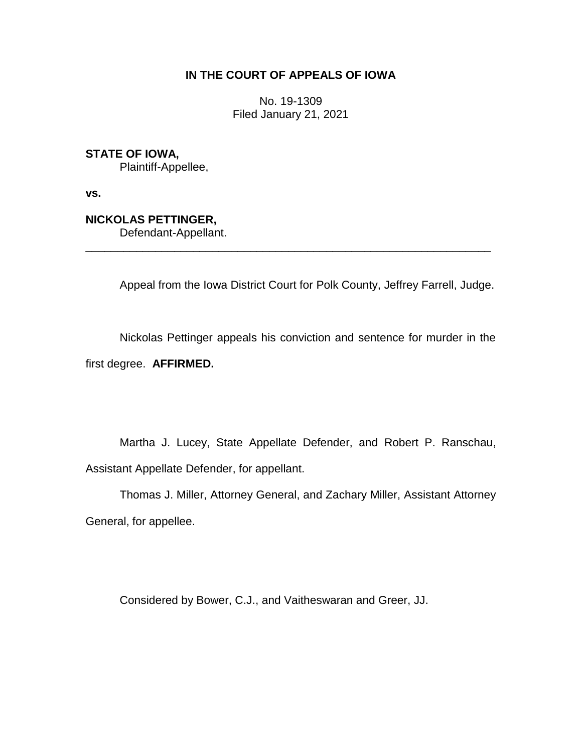# **IN THE COURT OF APPEALS OF IOWA**

No. 19-1309 Filed January 21, 2021

**STATE OF IOWA,**

Plaintiff-Appellee,

**vs.**

**NICKOLAS PETTINGER,**

Defendant-Appellant.

Appeal from the Iowa District Court for Polk County, Jeffrey Farrell, Judge.

Nickolas Pettinger appeals his conviction and sentence for murder in the first degree. **AFFIRMED.**

\_\_\_\_\_\_\_\_\_\_\_\_\_\_\_\_\_\_\_\_\_\_\_\_\_\_\_\_\_\_\_\_\_\_\_\_\_\_\_\_\_\_\_\_\_\_\_\_\_\_\_\_\_\_\_\_\_\_\_\_\_\_\_\_

Martha J. Lucey, State Appellate Defender, and Robert P. Ranschau, Assistant Appellate Defender, for appellant.

Thomas J. Miller, Attorney General, and Zachary Miller, Assistant Attorney General, for appellee.

Considered by Bower, C.J., and Vaitheswaran and Greer, JJ.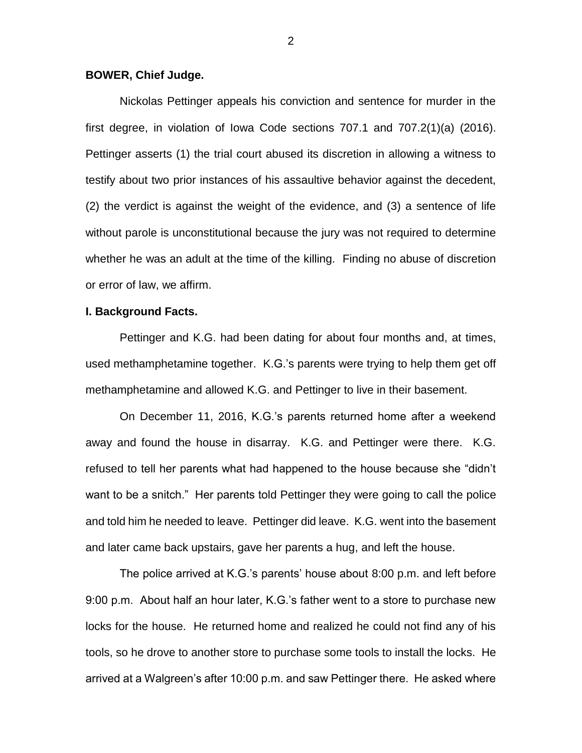#### **BOWER, Chief Judge.**

Nickolas Pettinger appeals his conviction and sentence for murder in the first degree, in violation of Iowa Code sections 707.1 and 707.2(1)(a) (2016). Pettinger asserts (1) the trial court abused its discretion in allowing a witness to testify about two prior instances of his assaultive behavior against the decedent, (2) the verdict is against the weight of the evidence, and (3) a sentence of life without parole is unconstitutional because the jury was not required to determine whether he was an adult at the time of the killing. Finding no abuse of discretion or error of law, we affirm.

#### **I. Background Facts.**

Pettinger and K.G. had been dating for about four months and, at times, used methamphetamine together. K.G.'s parents were trying to help them get off methamphetamine and allowed K.G. and Pettinger to live in their basement.

On December 11, 2016, K.G.'s parents returned home after a weekend away and found the house in disarray. K.G. and Pettinger were there. K.G. refused to tell her parents what had happened to the house because she "didn't want to be a snitch." Her parents told Pettinger they were going to call the police and told him he needed to leave. Pettinger did leave. K.G. went into the basement and later came back upstairs, gave her parents a hug, and left the house.

The police arrived at K.G.'s parents' house about 8:00 p.m. and left before 9:00 p.m. About half an hour later, K.G.'s father went to a store to purchase new locks for the house. He returned home and realized he could not find any of his tools, so he drove to another store to purchase some tools to install the locks. He arrived at a Walgreen's after 10:00 p.m. and saw Pettinger there. He asked where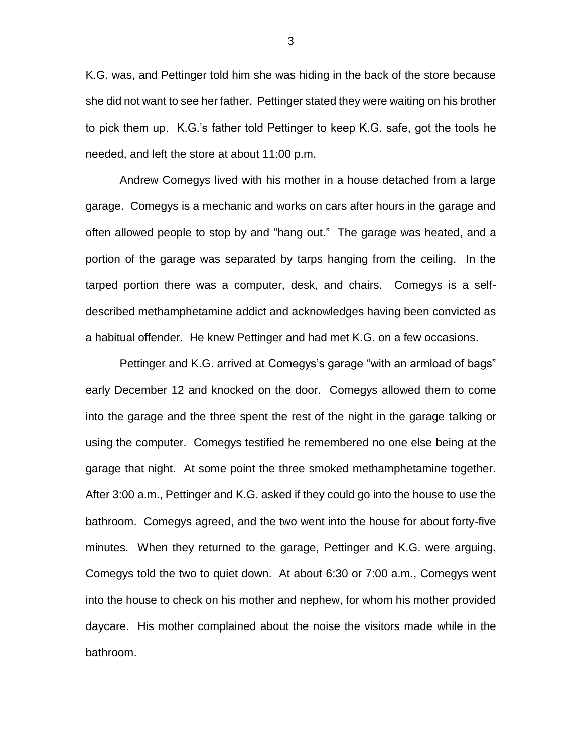K.G. was, and Pettinger told him she was hiding in the back of the store because she did not want to see her father. Pettinger stated they were waiting on his brother to pick them up. K.G.'s father told Pettinger to keep K.G. safe, got the tools he needed, and left the store at about 11:00 p.m.

Andrew Comegys lived with his mother in a house detached from a large garage. Comegys is a mechanic and works on cars after hours in the garage and often allowed people to stop by and "hang out." The garage was heated, and a portion of the garage was separated by tarps hanging from the ceiling. In the tarped portion there was a computer, desk, and chairs. Comegys is a selfdescribed methamphetamine addict and acknowledges having been convicted as a habitual offender. He knew Pettinger and had met K.G. on a few occasions.

Pettinger and K.G. arrived at Comegys's garage "with an armload of bags" early December 12 and knocked on the door. Comegys allowed them to come into the garage and the three spent the rest of the night in the garage talking or using the computer. Comegys testified he remembered no one else being at the garage that night. At some point the three smoked methamphetamine together. After 3:00 a.m., Pettinger and K.G. asked if they could go into the house to use the bathroom. Comegys agreed, and the two went into the house for about forty-five minutes. When they returned to the garage, Pettinger and K.G. were arguing. Comegys told the two to quiet down. At about 6:30 or 7:00 a.m., Comegys went into the house to check on his mother and nephew, for whom his mother provided daycare. His mother complained about the noise the visitors made while in the bathroom.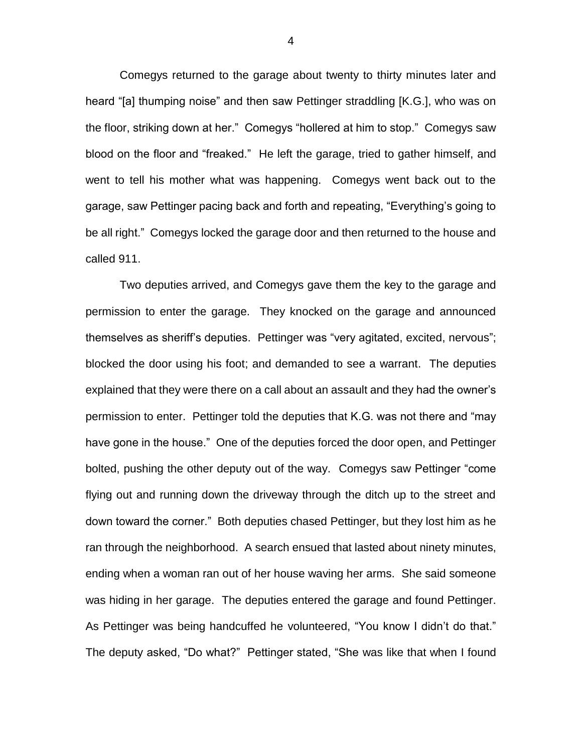Comegys returned to the garage about twenty to thirty minutes later and heard "[a] thumping noise" and then saw Pettinger straddling [K.G.], who was on the floor, striking down at her." Comegys "hollered at him to stop." Comegys saw blood on the floor and "freaked." He left the garage, tried to gather himself, and went to tell his mother what was happening. Comegys went back out to the garage, saw Pettinger pacing back and forth and repeating, "Everything's going to be all right." Comegys locked the garage door and then returned to the house and called 911.

Two deputies arrived, and Comegys gave them the key to the garage and permission to enter the garage. They knocked on the garage and announced themselves as sheriff's deputies. Pettinger was "very agitated, excited, nervous"; blocked the door using his foot; and demanded to see a warrant. The deputies explained that they were there on a call about an assault and they had the owner's permission to enter. Pettinger told the deputies that K.G. was not there and "may have gone in the house." One of the deputies forced the door open, and Pettinger bolted, pushing the other deputy out of the way. Comegys saw Pettinger "come flying out and running down the driveway through the ditch up to the street and down toward the corner." Both deputies chased Pettinger, but they lost him as he ran through the neighborhood. A search ensued that lasted about ninety minutes, ending when a woman ran out of her house waving her arms. She said someone was hiding in her garage. The deputies entered the garage and found Pettinger. As Pettinger was being handcuffed he volunteered, "You know I didn't do that." The deputy asked, "Do what?" Pettinger stated, "She was like that when I found

4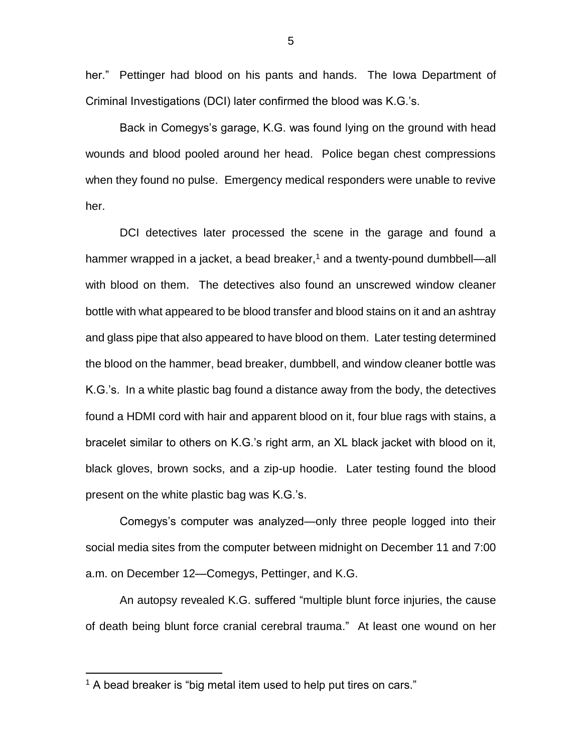her." Pettinger had blood on his pants and hands. The Iowa Department of Criminal Investigations (DCI) later confirmed the blood was K.G.'s.

Back in Comegys's garage, K.G. was found lying on the ground with head wounds and blood pooled around her head. Police began chest compressions when they found no pulse. Emergency medical responders were unable to revive her.

DCI detectives later processed the scene in the garage and found a hammer wrapped in a jacket, a bead breaker, $1$  and a twenty-pound dumbbell—all with blood on them. The detectives also found an unscrewed window cleaner bottle with what appeared to be blood transfer and blood stains on it and an ashtray and glass pipe that also appeared to have blood on them. Later testing determined the blood on the hammer, bead breaker, dumbbell, and window cleaner bottle was K.G.'s. In a white plastic bag found a distance away from the body, the detectives found a HDMI cord with hair and apparent blood on it, four blue rags with stains, a bracelet similar to others on K.G.'s right arm, an XL black jacket with blood on it, black gloves, brown socks, and a zip-up hoodie. Later testing found the blood present on the white plastic bag was K.G.'s.

Comegys's computer was analyzed—only three people logged into their social media sites from the computer between midnight on December 11 and 7:00 a.m. on December 12—Comegys, Pettinger, and K.G.

An autopsy revealed K.G. suffered "multiple blunt force injuries, the cause of death being blunt force cranial cerebral trauma." At least one wound on her

 $\overline{a}$ 

 $1$  A bead breaker is "big metal item used to help put tires on cars."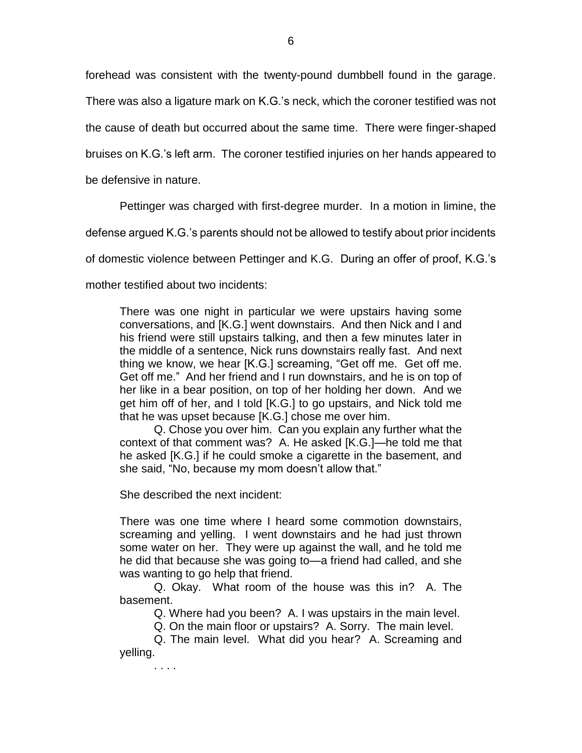forehead was consistent with the twenty-pound dumbbell found in the garage. There was also a ligature mark on K.G.'s neck, which the coroner testified was not the cause of death but occurred about the same time. There were finger-shaped bruises on K.G.'s left arm. The coroner testified injuries on her hands appeared to

be defensive in nature.

Pettinger was charged with first-degree murder. In a motion in limine, the

defense argued K.G.'s parents should not be allowed to testify about prior incidents

of domestic violence between Pettinger and K.G. During an offer of proof, K.G.'s

mother testified about two incidents:

There was one night in particular we were upstairs having some conversations, and [K.G.] went downstairs. And then Nick and I and his friend were still upstairs talking, and then a few minutes later in the middle of a sentence, Nick runs downstairs really fast. And next thing we know, we hear [K.G.] screaming, "Get off me. Get off me. Get off me." And her friend and I run downstairs, and he is on top of her like in a bear position, on top of her holding her down. And we get him off of her, and I told [K.G.] to go upstairs, and Nick told me that he was upset because [K.G.] chose me over him.

Q. Chose you over him. Can you explain any further what the context of that comment was? A. He asked [K.G.]—he told me that he asked [K.G.] if he could smoke a cigarette in the basement, and she said, "No, because my mom doesn't allow that."

She described the next incident:

There was one time where I heard some commotion downstairs, screaming and yelling. I went downstairs and he had just thrown some water on her. They were up against the wall, and he told me he did that because she was going to—a friend had called, and she was wanting to go help that friend.

Q. Okay. What room of the house was this in? A. The basement.

Q. Where had you been? A. I was upstairs in the main level.

Q. On the main floor or upstairs? A. Sorry. The main level.

Q. The main level. What did you hear? A. Screaming and yelling.

. . . .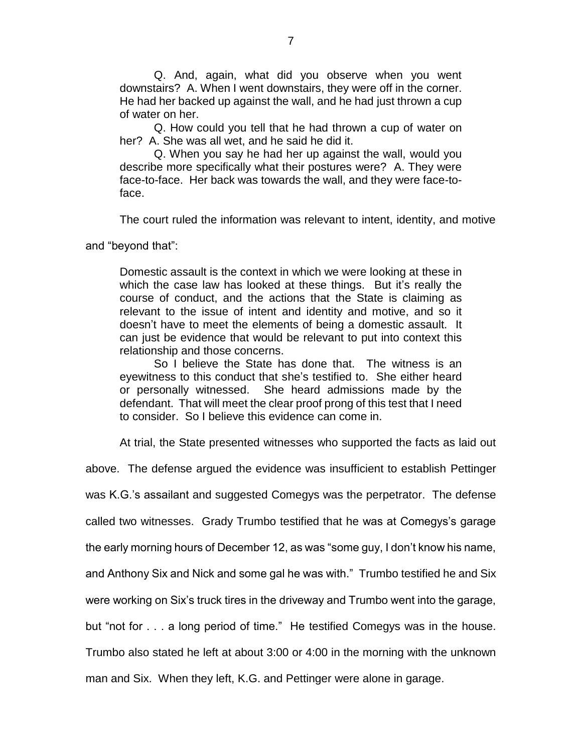Q. And, again, what did you observe when you went downstairs? A. When I went downstairs, they were off in the corner. He had her backed up against the wall, and he had just thrown a cup of water on her.

Q. How could you tell that he had thrown a cup of water on her? A. She was all wet, and he said he did it.

Q. When you say he had her up against the wall, would you describe more specifically what their postures were? A. They were face-to-face. Her back was towards the wall, and they were face-toface.

The court ruled the information was relevant to intent, identity, and motive

and "beyond that":

Domestic assault is the context in which we were looking at these in which the case law has looked at these things. But it's really the course of conduct, and the actions that the State is claiming as relevant to the issue of intent and identity and motive, and so it doesn't have to meet the elements of being a domestic assault. It can just be evidence that would be relevant to put into context this relationship and those concerns.

So I believe the State has done that. The witness is an eyewitness to this conduct that she's testified to. She either heard or personally witnessed. She heard admissions made by the defendant. That will meet the clear proof prong of this test that I need to consider. So I believe this evidence can come in.

At trial, the State presented witnesses who supported the facts as laid out

above. The defense argued the evidence was insufficient to establish Pettinger was K.G.'s assailant and suggested Comegys was the perpetrator. The defense called two witnesses. Grady Trumbo testified that he was at Comegys's garage the early morning hours of December 12, as was "some guy, I don't know his name, and Anthony Six and Nick and some gal he was with." Trumbo testified he and Six were working on Six's truck tires in the driveway and Trumbo went into the garage, but "not for . . . a long period of time." He testified Comegys was in the house. Trumbo also stated he left at about 3:00 or 4:00 in the morning with the unknown man and Six. When they left, K.G. and Pettinger were alone in garage.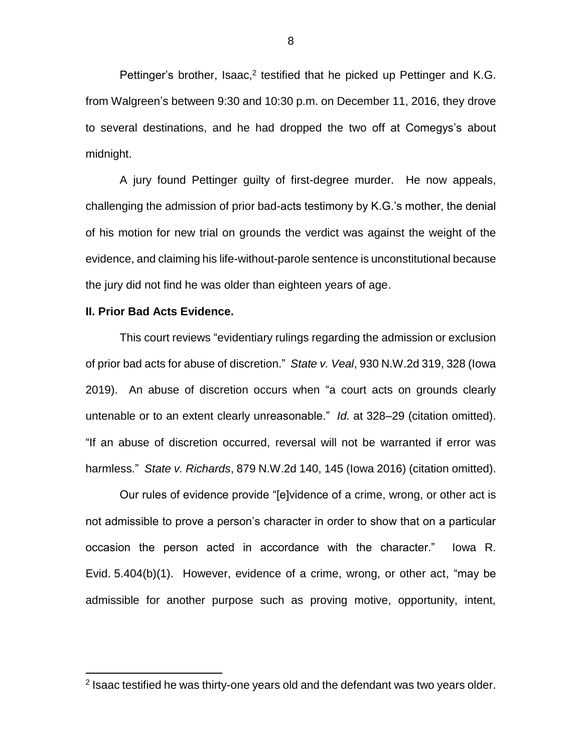Pettinger's brother, Isaac,<sup>2</sup> testified that he picked up Pettinger and K.G. from Walgreen's between 9:30 and 10:30 p.m. on December 11, 2016, they drove to several destinations, and he had dropped the two off at Comegys's about midnight.

A jury found Pettinger guilty of first-degree murder. He now appeals, challenging the admission of prior bad-acts testimony by K.G.'s mother, the denial of his motion for new trial on grounds the verdict was against the weight of the evidence, and claiming his life-without-parole sentence is unconstitutional because the jury did not find he was older than eighteen years of age.

# **II. Prior Bad Acts Evidence.**

 $\overline{a}$ 

This court reviews "evidentiary rulings regarding the admission or exclusion of prior bad acts for abuse of discretion." *State v. Veal*, 930 N.W.2d 319, 328 (Iowa 2019). An abuse of discretion occurs when "a court acts on grounds clearly untenable or to an extent clearly unreasonable." *Id.* at 328–29 (citation omitted). "If an abuse of discretion occurred, reversal will not be warranted if error was harmless." *State v. Richards*, 879 N.W.2d 140, 145 (Iowa 2016) (citation omitted).

Our rules of evidence provide "[e]vidence of a crime, wrong, or other act is not admissible to prove a person's character in order to show that on a particular occasion the person acted in accordance with the character." Iowa R. Evid. 5.404(b)(1). However, evidence of a crime, wrong, or other act, "may be admissible for another purpose such as proving motive, opportunity, intent,

<sup>&</sup>lt;sup>2</sup> Isaac testified he was thirty-one years old and the defendant was two years older.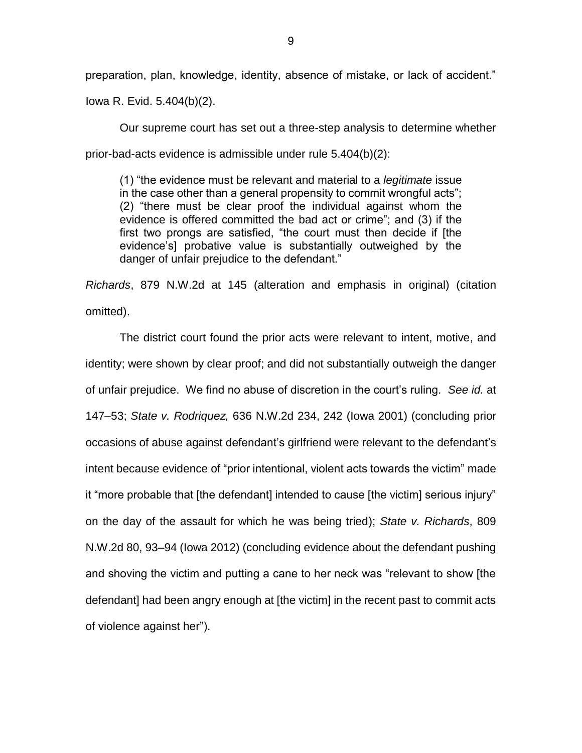preparation, plan, knowledge, identity, absence of mistake, or lack of accident."

Iowa R. Evid. 5.404(b)(2).

Our supreme court has set out a three-step analysis to determine whether prior-bad-acts evidence is admissible under rule 5.404(b)(2):

(1) "the evidence must be relevant and material to a *legitimate* issue in the case other than a general propensity to commit wrongful acts"; (2) "there must be clear proof the individual against whom the evidence is offered committed the bad act or crime"; and (3) if the first two prongs are satisfied, "the court must then decide if [the evidence's] probative value is substantially outweighed by the danger of unfair prejudice to the defendant."

*Richards*, 879 N.W.2d at 145 (alteration and emphasis in original) (citation omitted).

The district court found the prior acts were relevant to intent, motive, and identity; were shown by clear proof; and did not substantially outweigh the danger of unfair prejudice. We find no abuse of discretion in the court's ruling. *See id.* at 147–53; *State v. Rodriquez,* 636 N.W.2d 234, 242 (Iowa 2001) (concluding prior occasions of abuse against defendant's girlfriend were relevant to the defendant's intent because evidence of "prior intentional, violent acts towards the victim" made it "more probable that [the defendant] intended to cause [the victim] serious injury" on the day of the assault for which he was being tried); *State v. Richards*, 809 N.W.2d 80, 93–94 (Iowa 2012) (concluding evidence about the defendant pushing and shoving the victim and putting a cane to her neck was "relevant to show [the defendant] had been angry enough at [the victim] in the recent past to commit acts of violence against her").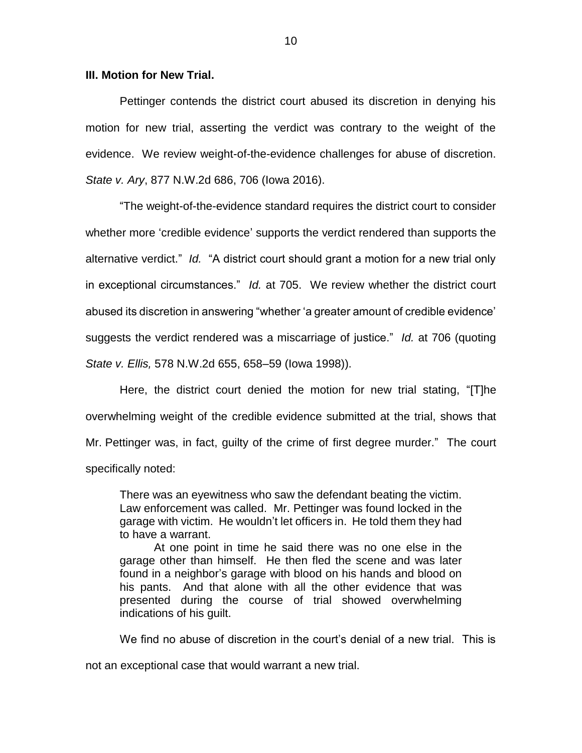### **III. Motion for New Trial.**

Pettinger contends the district court abused its discretion in denying his motion for new trial, asserting the verdict was contrary to the weight of the evidence. We review weight-of-the-evidence challenges for abuse of discretion. *State v. Ary*, 877 N.W.2d 686, 706 (Iowa 2016).

"The weight-of-the-evidence standard requires the district court to consider whether more 'credible evidence' supports the verdict rendered than supports the alternative verdict." *Id.* "A district court should grant a motion for a new trial only in exceptional circumstances." *Id.* at 705. We review whether the district court abused its discretion in answering "whether 'a greater amount of credible evidence' suggests the verdict rendered was a miscarriage of justice." *Id.* at 706 (quoting *State v. Ellis,* 578 N.W.2d 655, 658–59 (Iowa 1998)).

Here, the district court denied the motion for new trial stating, "[T]he overwhelming weight of the credible evidence submitted at the trial, shows that Mr. Pettinger was, in fact, guilty of the crime of first degree murder." The court specifically noted:

There was an eyewitness who saw the defendant beating the victim. Law enforcement was called. Mr. Pettinger was found locked in the garage with victim. He wouldn't let officers in. He told them they had to have a warrant.

At one point in time he said there was no one else in the garage other than himself. He then fled the scene and was later found in a neighbor's garage with blood on his hands and blood on his pants. And that alone with all the other evidence that was presented during the course of trial showed overwhelming indications of his guilt.

We find no abuse of discretion in the court's denial of a new trial. This is

not an exceptional case that would warrant a new trial.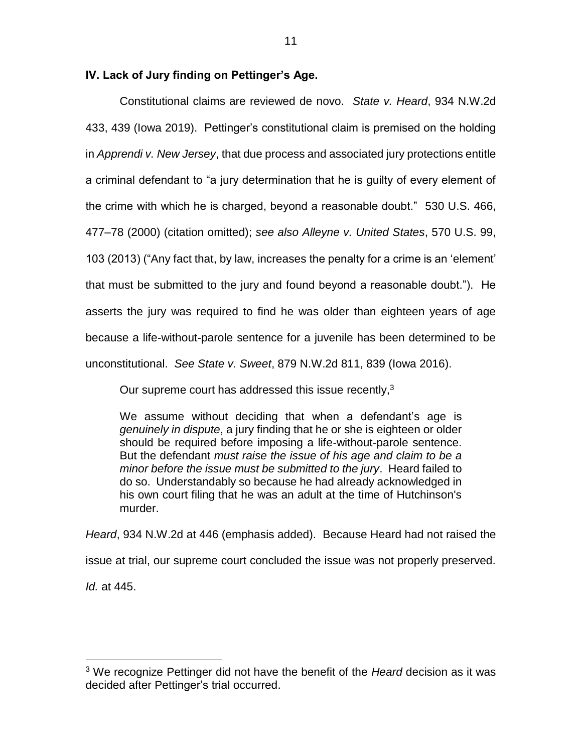## **IV. Lack of Jury finding on Pettinger's Age.**

Constitutional claims are reviewed de novo. *State v. Heard*, 934 N.W.2d 433, 439 (Iowa 2019). Pettinger's constitutional claim is premised on the holding in *Apprendi v. New Jersey*, that due process and associated jury protections entitle a criminal defendant to "a jury determination that he is guilty of every element of the crime with which he is charged, beyond a reasonable doubt." 530 U.S. 466, 477–78 (2000) (citation omitted); *see also Alleyne v. United States*, 570 U.S. 99, 103 (2013) ("Any fact that, by law, increases the penalty for a crime is an 'element' that must be submitted to the jury and found beyond a reasonable doubt."). He asserts the jury was required to find he was older than eighteen years of age because a life-without-parole sentence for a juvenile has been determined to be unconstitutional. *See State v. Sweet*, 879 N.W.2d 811, 839 (Iowa 2016).

Our supreme court has addressed this issue recently,<sup>3</sup>

We assume without deciding that when a defendant's age is *genuinely in dispute*, a jury finding that he or she is eighteen or older should be required before imposing a life-without-parole sentence. But the defendant *must raise the issue of his age and claim to be a minor before the issue must be submitted to the jury*. Heard failed to do so. Understandably so because he had already acknowledged in his own court filing that he was an adult at the time of Hutchinson's murder.

*Heard*, 934 N.W.2d at 446 (emphasis added).Because Heard had not raised the issue at trial, our supreme court concluded the issue was not properly preserved. *Id.* at 445.

 $\overline{a}$ 

<sup>3</sup> We recognize Pettinger did not have the benefit of the *Heard* decision as it was decided after Pettinger's trial occurred.